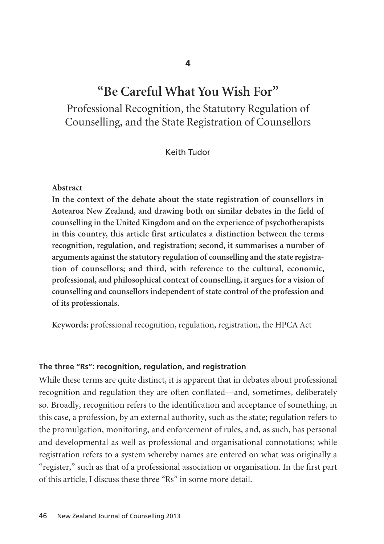### **4**

# **"Be Careful What You Wish For"**

Professional Recognition, the Statutory Regulation of Counselling, and the State Registration of Counsellors

Keith Tudor

#### **Abstract**

**In the context of the debate about the state registration of counsellors in Aotearoa New Zealand, and drawing both on similar debates in the field of counselling in the United Kingdom and on the experience of psychotherapists in this country, this article first articulates a distinction between the terms recognition, regulation, and registration; second, it summarises a number of arguments against the statutory regulation of counselling and the state regis tra tion of counsellors; and third, with reference to the cultural, economic, professional, and philosophical context of counselling, it argues for a vision of counselling and counsellors independent of state control of the profession and of its professionals.**

**Keywords:** professional recognition, regulation, registration, the HPCA Act

### **The three "Rs": recognition, regulation, and registration**

While these terms are quite distinct, it is apparent that in debates about professional recognition and regulation they are often conflated—and, sometimes, deliberately so. Broadly, recognition refers to the identification and acceptance of something, in this case, a profession, by an external authority, such as the state; regulation refers to the promulgation, monitoring, and enforcement of rules, and, as such, has personal and developmental as well as professional and organisational connotations; while registration refers to a system whereby names are entered on what was originally a "register," such as that of a professional association or organisation. In the first part of this article, I discuss these three "Rs" in some more detail.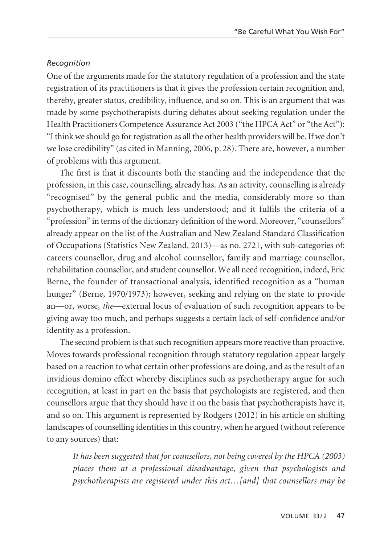### *Recognition*

One of the arguments made for the statutory regulation of a profession and the state registration of its practitioners is that it gives the profession certain recognition and, thereby, greater status, credibility, influence, and so on. This is an argument that was made by some psychotherapists during debates about seeking regulation under the Health Practitioners Competence Assurance Act 2003 ("the HPCA Act" or "the Act"): "I think we should go for registration as all the other health providers will be. If we don't we lose credibility" (as cited in Manning, 2006, p. 28). There are, however, a number of problems with this argument.

The first is that it discounts both the standing and the independence that the profession, in this case, counselling, already has. As an activity, counselling is already "recognised" by the general public and the media, considerably more so than psychotherapy, which is much less understood; and it fulfils the criteria of a "profession" in terms of the dictionary definition of the word. Moreover, "counsellors" already appear on the list of the Australian and New Zealand Standard Classification of Occupations (Statistics New Zealand, 2013)—as no. 2721, with sub-categories of: careers counsellor, drug and alcohol counsellor, family and marriage counsellor, rehabilitation counsellor, and student counsellor. We all need recognition, indeed, Eric Berne, the founder of transactional analysis, identified recognition as a "human hunger" (Berne, 1970/1973); however, seeking and relying on the state to provide an—or, worse, *the*—external locus of evaluation of such recognition appears to be giving away too much, and perhaps suggests a certain lack of self-confidence and/or identity as a profession.

The second problem is that such recognition appears more reactive than proactive. Moves towards professional recognition through statutory regulation appear largely based on a reaction to what certain other professions are doing, and as the result of an invidious domino effect whereby disciplines such as psychotherapy argue for such recognition, at least in part on the basis that psychologists are registered, and then counsellors argue that they should have it on the basis that psychotherapists have it, and so on. This argument is represented by Rodgers (2012) in his article on shifting landscapes of counselling identities in this country, when he argued (without reference to any sources) that:

*It has been suggested that for counsellors, not being covered by the HPCA (2003) places them at a professional disadvantage, given that psychologists and psychotherapists are registered under this act…[and] that counsellors may be*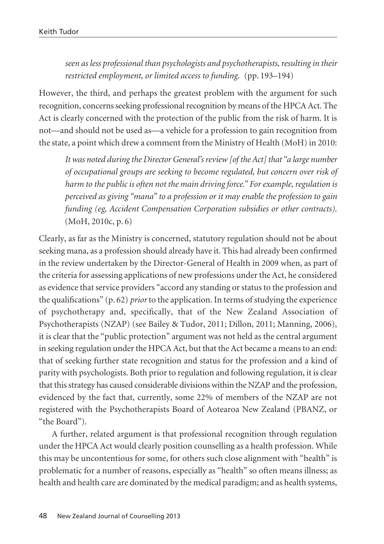*seen as less professional than psychologists and psychotherapists, resulting in their restricted employment, or limited access to funding.* (pp. 193–194)

However, the third, and perhaps the greatest problem with the argument for such recognition, concerns seeking professional recognition by means of the HPCA Act. The Act is clearly concerned with the protection of the public from the risk of harm. It is not—and should not be used as—a vehicle for a profession to gain recognition from the state, a point which drew a comment from the Ministry of Health (MoH) in 2010:

*It was noted during the Director General's review [of the Act] that "a large number of occupational groups are seeking to become regulated, but concern over risk of harm to the public is often not the main driving force." For example, regulation is perceived as giving "mana" to a profession or it may enable the profession to gain funding (eg, Accident Compensation Corporation subsidies or other contracts).* (MoH, 2010c, p. 6)

Clearly, as far as the Ministry is concerned, statutory regulation should not be about seeking mana, as a profession should already have it. This had already been confirmed in the review undertaken by the Director-General of Health in 2009 when, as part of the criteria for assessing applications of new professions under the Act, he considered as evidence that service providers "accord any standing or status to the profession and the qualifications" (p. 62) *prior* to the application. In terms of studying the experience of psychotherapy and, specifically, that of the New Zealand Association of Psychotherapists (NZAP) (see Bailey & Tudor, 2011; Dillon, 2011; Manning, 2006), it is clear that the "public protection" argument was not held as the central argument in seeking regulation under the HPCA Act, but that the Act became a means to an end: that of seeking further state recognition and status for the profession and a kind of parity with psychologists. Both prior to regulation and following regulation, it is clear that this strategy has caused considerable divisions within the NZAP and the profession, evidenced by the fact that, currently, some 22% of members of the NZAP are not registered with the Psychotherapists Board of Aotearoa New Zealand (PBANZ, or "the Board").

A further, related argument is that professional recognition through regulation under the HPCA Act would clearly position counselling as a health profession. While this may be uncontentious for some, for others such close alignment with "health" is problematic for a number of reasons, especially as "health" so often means illness; as health and health care are dominated by the medical paradigm; and as health systems,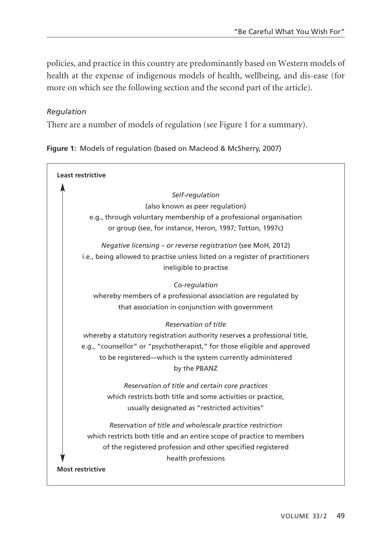policies, and practice in this country are predominantly based on Western models of health at the expense of indigenous models of health, wellbeing, and dis-ease (for more on which see the following section and the second part of the article).

### *Regulation*

There are a number of models of regulation (see Figure 1 for a summary).

**Figure 1:** Models of regulation (based on Macleod & McSherry, 2007)

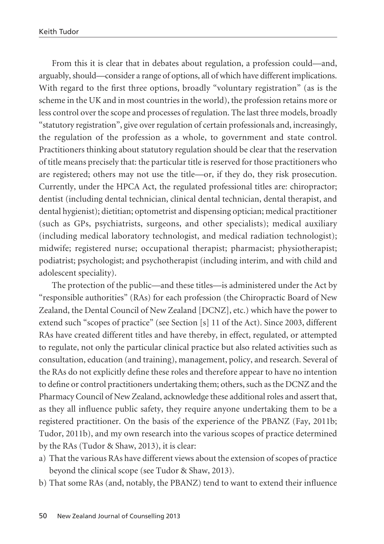From this it is clear that in debates about regulation, a profession could—and, arguably, should—consider a range of options, all of which have different implications. With regard to the first three options, broadly "voluntary registration" (as is the scheme in the UK and in most countries in the world), the profession retains more or less control over the scope and processes of regulation. The last three models, broadly "statutory registration", give over regulation of certain professionals and, increasingly, the regulation of the profession as a whole, to government and state control. Practitioners thinking about statutory regulation should be clear that the reservation of title means precisely that: the particular title is reserved for those practitioners who are registered; others may not use the title—or, if they do, they risk prosecution. Currently, under the HPCA Act, the regulated professional titles are: chiropractor; dentist (including dental technician, clinical dental technician, dental therapist, and dental hygienist); dietitian; optometrist and dispensing optician; medical practitioner (such as GPs, psychiatrists, surgeons, and other specialists); medical auxiliary (including medical laboratory technologist, and medical radiation technologist); midwife; registered nurse; occupational therapist; pharmacist; physiotherapist; podiatrist; psychologist; and psychotherapist (including interim, and with child and adolescent speciality).

The protection of the public—and these titles—is administered under the Act by "responsible authorities" (RAs) for each profession (the Chiropractic Board of New Zealand, the Dental Council of New Zealand [DCNZ], etc.) which have the power to extend such "scopes of practice" (see Section [s] 11 of the Act). Since 2003, different RAs have created different titles and have thereby, in effect, regulated, or attempted to regulate, not only the particular clinical practice but also related activities such as consultation, education (and training), management, policy, and research. Several of the RAs do not explicitly define these roles and therefore appear to have no intention to define or control practitioners undertaking them; others, such as the DCNZ and the Pharmacy Council of New Zealand, acknowledge these additional roles and assert that, as they all influence public safety, they require anyone undertaking them to be a registered practitioner. On the basis of the experience of the PBANZ (Fay, 2011b; Tudor, 2011b), and my own research into the various scopes of practice determined by the RAs (Tudor & Shaw, 2013), it is clear:

- a) That the various RAs have different views about the extension of scopes of practice beyond the clinical scope (see Tudor & Shaw, 2013).
- b) That some RAs (and, notably, the PBANZ) tend to want to extend their influence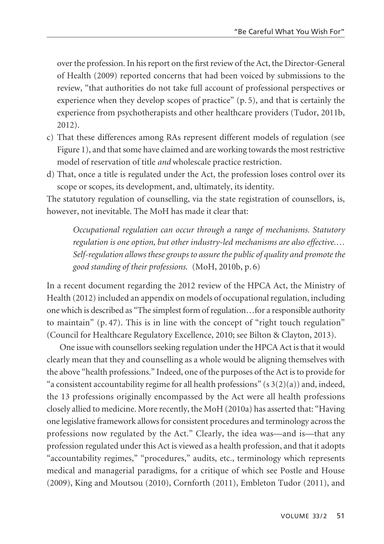over the profession. In his report on the first review of the Act, the Director-General of Health (2009) reported concerns that had been voiced by submissions to the review, "that authorities do not take full account of professional perspectives or experience when they develop scopes of practice" (p. 5), and that is certainly the experience from psychotherapists and other healthcare providers (Tudor, 2011b, 2012).

- c) That these differences among RAs represent different models of regulation (see Figure 1), and that some have claimed and are working towards the most restrictive model of reservation of title *and* wholescale practice restriction.
- d) That, once a title is regulated under the Act, the profession loses control over its scope or scopes, its development, and, ultimately, its identity.

The statutory regulation of counselling, via the state registration of counsellors, is, however, not inevitable. The MoH has made it clear that:

*Occupational regulation can occur through a range of mechanisms. Statutory regulation is one option, but other industry-led mechanisms are also effective.… Self-regulation allows these groups to assure the public of quality and promote the good standing of their professions.* (MoH, 2010b, p. 6)

In a recent document regarding the 2012 review of the HPCA Act, the Ministry of Health (2012) included an appendix on models of occupational regulation, including one which is described as "The simplest form of regulation…for a responsible authority to maintain" (p. 47). This is in line with the concept of "right touch regulation" (Council for Healthcare Regulatory Excellence, 2010; see Bilton & Clayton, 2013).

One issue with counsellors seeking regulation under the HPCA Act is that it would clearly mean that they and counselling as a whole would be aligning themselves with the above "health professions." Indeed, one of the purposes of the Act is to provide for "a consistent accountability regime for all health professions" ( $s3(2)(a)$ ) and, indeed, the 13 professions originally encompassed by the Act were all health professions closely allied to medicine. More recently, the MoH (2010a) has asserted that: "Having one legislative framework allows for consistent procedures and terminology across the professions now regulated by the Act." Clearly, the idea was—and is—that any profession regulated under this Act is viewed as a health profession, and that it adopts "accountability regimes," "procedures," audits, etc., terminology which represents medical and managerial paradigms, for a critique of which see Postle and House (2009), King and Moutsou (2010), Cornforth (2011), Embleton Tudor (2011), and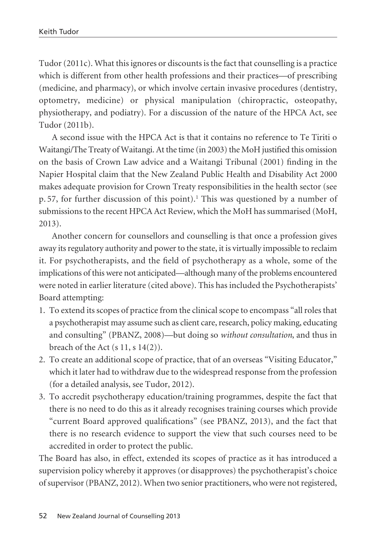Tudor (2011c). What this ignores or discounts is the fact that counselling is a practice which is different from other health professions and their practices—of prescribing (medicine, and pharmacy), or which involve certain invasive procedures (dentistry, optometry, medicine) or physical manipulation (chiropractic, osteopathy, physiotherapy, and podiatry). For a discussion of the nature of the HPCA Act, see Tudor (2011b).

A second issue with the HPCA Act is that it contains no reference to Te Tiriti o Waitangi/The Treaty of Waitangi. At the time (in 2003) the MoH justified this omission on the basis of Crown Law advice and a Waitangi Tribunal (2001) finding in the Napier Hospital claim that the New Zealand Public Health and Disability Act 2000 makes adequate provision for Crown Treaty responsibilities in the health sector (see p. 57, for further discussion of this point).1 This was questioned by a number of submissions to the recent HPCA Act Review, which the MoH has summarised (MoH, 2013).

Another concern for counsellors and counselling is that once a profession gives away its regulatory authority and power to the state, it is virtually impossible to reclaim it. For psychotherapists, and the field of psychotherapy as a whole, some of the implications of this were not anticipated—although many of the problems encountered were noted in earlier literature (cited above). This has included the Psychotherapists' Board attempting:

- 1. To extend its scopes of practice from the clinical scope to encompass "all roles that a psychotherapist may assume such as client care, research, policy making, educating and consulting" (PBANZ, 2008)—but doing so *without consultation*, and thus in breach of the Act  $(s 11, s 14(2))$ .
- 2. To create an additional scope of practice, that of an overseas "Visiting Educator," which it later had to withdraw due to the widespread response from the profession (for a detailed analysis, see Tudor, 2012).
- 3. To accredit psychotherapy education/training programmes, despite the fact that there is no need to do this as it already recognises training courses which provide "current Board approved qualifications" (see PBANZ, 2013), and the fact that there is no research evidence to support the view that such courses need to be accredited in order to protect the public.

The Board has also, in effect, extended its scopes of practice as it has introduced a supervision policy whereby it approves (or disapproves) the psychotherapist's choice of supervisor (PBANZ, 2012). When two senior practitioners, who were not registered,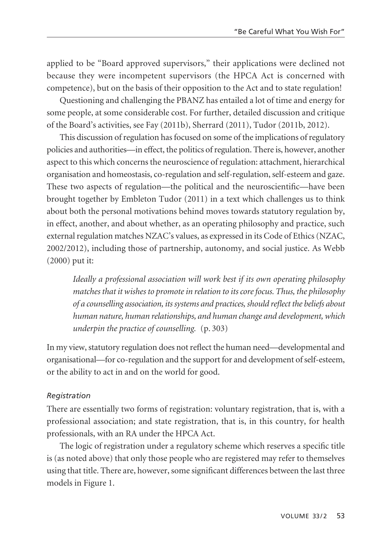applied to be "Board approved supervisors," their applications were declined not because they were incompetent supervisors (the HPCA Act is concerned with competence), but on the basis of their opposition to the Act and to state regulation!

Questioning and challenging the PBANZ has entailed a lot of time and energy for some people, at some considerable cost. For further, detailed discussion and critique of the Board's activities, see Fay (2011b), Sherrard (2011), Tudor (2011b, 2012).

This discussion of regulation has focused on some of the implications of regulatory policies and authorities—in effect, the politics of regulation. There is, however, another aspect to this which concerns the neuroscience of regulation: attachment, hierarchical organisation and homeostasis, co-regulation and self-regulation, self-esteem and gaze. These two aspects of regulation—the political and the neuroscientific—have been brought together by Embleton Tudor (2011) in a text which challenges us to think about both the personal motivations behind moves towards statutory regulation by, in effect, another, and about whether, as an operating philosophy and practice, such external regulation matches NZAC's values, as expressed in its Code of Ethics (NZAC, 2002/2012), including those of partnership, autonomy, and social justice. As Webb (2000) put it:

*Ideally a professional association will work best if its own operating philosophy matches that it wishes to promote in relation to its core focus. Thus, the philosophy of a counselling association, its systems and practices, should reflect the beliefs about human nature, human relationships, and human change and development, which underpin the practice of counselling.* (p. 303)

In my view, statutory regulation does not reflect the human need—developmental and organisational—for co-regulation and the support for and development of self-esteem, or the ability to act in and on the world for good.

### *Registration*

There are essentially two forms of registration: voluntary registration, that is, with a professional association; and state registration, that is, in this country, for health professionals, with an RA under the HPCA Act.

The logic of registration under a regulatory scheme which reserves a specific title is (as noted above) that only those people who are registered may refer to themselves using that title. There are, however, some significant differences between the last three models in Figure 1.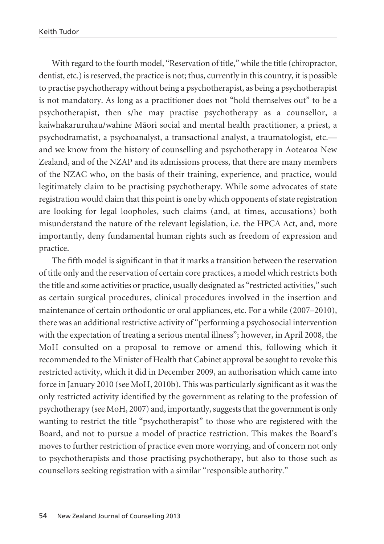With regard to the fourth model, "Reservation of title," while the title (chiropractor, dentist, etc.) is reserved, the practice is not; thus, currently in this country, it is possible to practise psychotherapy without being a psychotherapist, as being a psychotherapist is not mandatory. As long as a practitioner does not "hold themselves out" to be a psychotherapist, then s/he may practise psychotherapy as a counsellor, a kaiwhakaruruhau/wahine Mäori social and mental health practitioner, a priest, a psychodramatist, a psychoanalyst, a transactional analyst, a traumatologist, etc. and we know from the history of counselling and psychotherapy in Aotearoa New Zealand, and of the NZAP and its admissions process, that there are many members of the NZAC who, on the basis of their training, experience, and practice, would legitimately claim to be practising psychotherapy. While some advocates of state registration would claim that this point is one by which opponents of state registration are looking for legal loopholes, such claims (and, at times, accusations) both misunderstand the nature of the relevant legislation, i.e. the HPCA Act, and, more importantly, deny fundamental human rights such as freedom of expression and practice.

The fifth model is significant in that it marks a transition between the reservation of title only and the reservation of certain core practices, a model which restricts both the title and some activities or practice, usually designated as "restricted activities," such as certain surgical procedures, clinical procedures involved in the insertion and maintenance of certain orthodontic or oral appliances, etc. For a while (2007–2010), there was an additional restrictive activity of "performing a psychosocial intervention with the expectation of treating a serious mental illness"; however, in April 2008, the MoH consulted on a proposal to remove or amend this, following which it recommended to the Minister of Health that Cabinet approval be sought to revoke this restricted activity, which it did in December 2009, an authorisation which came into force in January 2010 (see MoH, 2010b). This was particularly significant as it was the only restricted activity identified by the government as relating to the profession of psychotherapy (see MoH, 2007) and, importantly, suggests that the government is only wanting to restrict the title "psychotherapist" to those who are registered with the Board, and not to pursue a model of practice restriction. This makes the Board's moves to further restriction of practice even more worrying, and of concern not only to psychotherapists and those practising psychotherapy, but also to those such as counsellors seeking registration with a similar "responsible authority."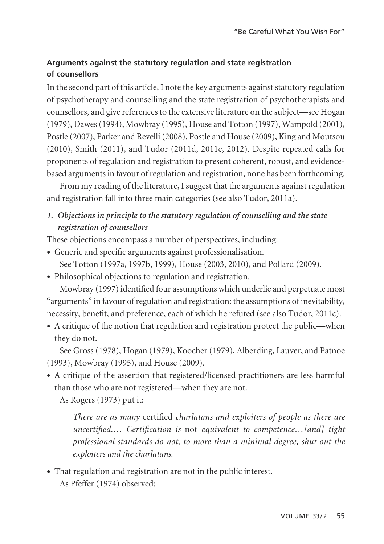### **Arguments against the statutory regulation and state registration of counsellors**

In the second part of this article, I note the key arguments against statutory regulation of psychotherapy and counselling and the state registration of psychotherapists and counsellors, and give references to the extensive literature on the subject—see Hogan (1979), Dawes (1994), Mowbray (1995), House and Totton (1997), Wampold (2001), Postle (2007), Parker and Revelli (2008), Postle and House (2009), King and Moutsou (2010), Smith (2011), and Tudor (2011d, 2011e, 2012). Despite repeated calls for proponents of regulation and registration to present coherent, robust, and evidencebased arguments in favour of regulation and registration, none has been forthcoming.

From my reading of the literature, I suggest that the arguments against regulation and registration fall into three main categories (see also Tudor, 2011a).

## *1. Objections in principle to the statutory regulation of counselling and the state registration of counsellors*

These objections encompass a number of perspectives, including:

- Generic and specific arguments against professionalisation. See Totton (1997a, 1997b, 1999), House (2003, 2010), and Pollard (2009).
- Philosophical objections to regulation and registration.

Mowbray (1997) identified four assumptions which underlie and perpetuate most "arguments" in favour of regulation and registration: the assumptions of inevitability, necessity, benefit, and preference, each of which he refuted (see also Tudor, 2011c).

• A critique of the notion that regulation and registration protect the public—when they do not.

See Gross (1978), Hogan (1979), Koocher (1979), Alberding, Lauver, and Patnoe (1993), Mowbray (1995), and House (2009).

• A critique of the assertion that registered/licensed practitioners are less harmful than those who are not registered—when they are not.

As Rogers (1973) put it:

*There are as many* certified *charlatans and exploiters of people as there are uncertified.… Certification is* not *equivalent to competence…[and] tight professional standards do not, to more than a minimal degree, shut out the exploiters and the charlatans.*

• That regulation and registration are not in the public interest. As Pfeffer (1974) observed: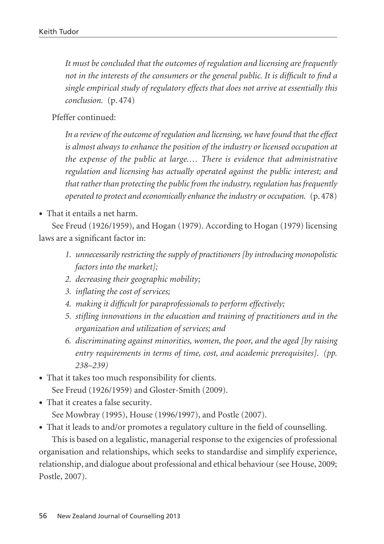*It must be concluded that the outcomes of regulation and licensing are frequently not in the interests of the consumers or the general public. It is difficult to find a single empirical study of regulatory effects that does not arrive at essentially this conclusion.* (p. 474)

Pfeffer continued:

*In a review of the outcome of regulation and licensing, we have found that the effect is almost always to enhance the position of the industry or licensed occupation at the expense of the public at large.… There is evidence that administrative regulation and licensing has actually operated against the public interest; and that rather than protecting the public from the industry, regulation has frequently operated to protect and economically enhance the industry or occupation.* (p. 478)

• That it entails a net harm.

See Freud (1926/1959), and Hogan (1979). According to Hogan (1979) licensing laws are a significant factor in:

- *1. unnecessarily restricting the supply of practitioners [by introducing monopolistic factors into the market];*
- *2. decreasing their geographic mobility;*
- *3. inflating the cost of services;*
- *4. making it difficult for paraprofessionals to perform effectively;*
- *5. stifling innovations in the education and training of practitioners and in the organization and utilization of services; and*
- *6. discriminating against minorities, women, the poor, and the aged [by raising entry requirements in terms of time, cost, and academic prerequisites]. (pp. 238–239)*
- That it takes too much responsibility for clients. See Freud (1926/1959) and Gloster-Smith (2009).
- That it creates a false security. See Mowbray (1995), House (1996/1997), and Postle (2007).

• That it leads to and/or promotes a regulatory culture in the field of counselling.

This is based on a legalistic, managerial response to the exigencies of professional organisation and relationships, which seeks to standardise and simplify experience, relationship, and dialogue about professional and ethical behaviour (see House, 2009; Postle, 2007).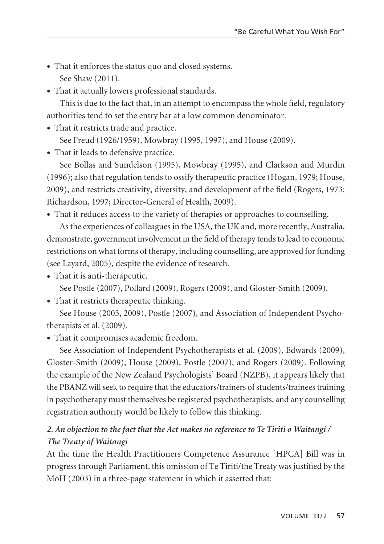- That it enforces the status quo and closed systems. See Shaw (2011).
- That it actually lowers professional standards.

This is due to the fact that, in an attempt to encompass the whole field, regulatory authorities tend to set the entry bar at a low common denominator.

• That it restricts trade and practice.

See Freud (1926/1959), Mowbray (1995, 1997), and House (2009).

• That it leads to defensive practice.

See Bollas and Sundelson (1995), Mowbray (1995), and Clarkson and Murdin (1996); also that regulation tends to ossify therapeutic practice (Hogan, 1979; House, 2009), and restricts creativity, diversity, and development of the field (Rogers, 1973; Richardson, 1997; Director-General of Health, 2009).

• That it reduces access to the variety of therapies or approaches to counselling.

As the experiences of colleagues in the USA, the UK and, more recently, Australia, demonstrate, government involvement in the field of therapy tends to lead to economic restrictions on what forms of therapy, including counselling, are approved for funding (see Layard, 2005), despite the evidence of research.

• That it is anti-therapeutic.

See Postle (2007), Pollard (2009), Rogers (2009), and Gloster-Smith (2009).

• That it restricts therapeutic thinking.

See House (2003, 2009), Postle (2007), and Association of Independent Psychotherapists et al. (2009).

• That it compromises academic freedom.

See Association of Independent Psychotherapists et al. (2009), Edwards (2009), Gloster-Smith (2009), House (2009), Postle (2007), and Rogers (2009). Following the example of the New Zealand Psychologists' Board (NZPB), it appears likely that the PBANZ will seek to require that the educators/trainers of students/trainees training in psychotherapy must themselves be registered psychotherapists, and any counselling registration authority would be likely to follow this thinking.

# *2. An objection to the fact that the Act makes no reference to Te Tiriti o Waitangi / The Treaty of Waitangi*

At the time the Health Practitioners Competence Assurance [HPCA] Bill was in progress through Parliament, this omission of Te Tiriti/the Treaty was justified by the MoH (2003) in a three-page statement in which it asserted that: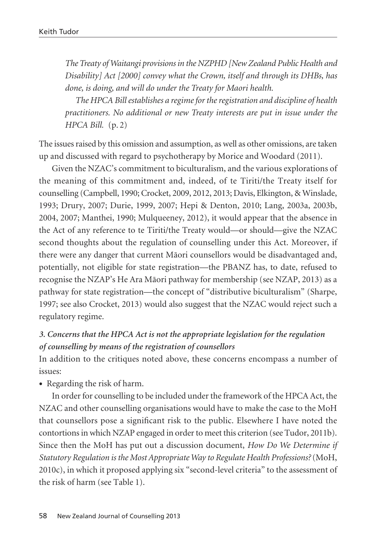*The Treaty of Waitangi provisions in the NZPHD [New Zealand Public Health and Disability] Act [2000] convey what the Crown, itself and through its DHBs, has done, is doing, and will do under the Treaty for Maori health.*

*The HPCA Bill establishes a regime for the registration and discipline of health practitioners. No additional or new Treaty interests are put in issue under the HPCA Bill.* (p. 2)

The issues raised by this omission and assumption, as well as other omissions, are taken up and discussed with regard to psychotherapy by Morice and Woodard (2011).

Given the NZAC's commitment to biculturalism, and the various explorations of the meaning of this commitment and, indeed, of te Tiriti/the Treaty itself for counselling (Campbell, 1990; Crocket, 2009, 2012, 2013; Davis, Elkington, & Winslade, 1993; Drury, 2007; Durie, 1999, 2007; Hepi & Denton, 2010; Lang, 2003a, 2003b, 2004, 2007; Manthei, 1990; Mulqueeney, 2012), it would appear that the absence in the Act of any reference to te Tiriti/the Treaty would—or should—give the NZAC second thoughts about the regulation of counselling under this Act. Moreover, if there were any danger that current Mäori counsellors would be disadvantaged and, potentially, not eligible for state registration—the PBANZ has, to date, refused to recognise the NZAP's He Ara Mäori pathway for membership (see NZAP, 2013) as a pathway for state registration—the concept of "distributive biculturalism" (Sharpe, 1997; see also Crocket, 2013) would also suggest that the NZAC would reject such a regulatory regime.

# *3. Concerns that the HPCA Act is not the appropriate legislation for the regulation of counselling by means of the registration of counsellors*

In addition to the critiques noted above, these concerns encompass a number of issues:

• Regarding the risk of harm.

In order for counselling to be included under the framework of the HPCA Act, the NZAC and other counselling organisations would have to make the case to the MoH that counsellors pose a significant risk to the public. Elsewhere I have noted the contortions in which NZAP engaged in order to meet this criterion (see Tudor, 2011b). Since then the MoH has put out a discussion document, *How Do We Determine if Statutory Regulation is the Most Appropriate Way to Regulate Health Professions?*(MoH, 2010c), in which it proposed applying six "second-level criteria" to the assessment of the risk of harm (see Table 1).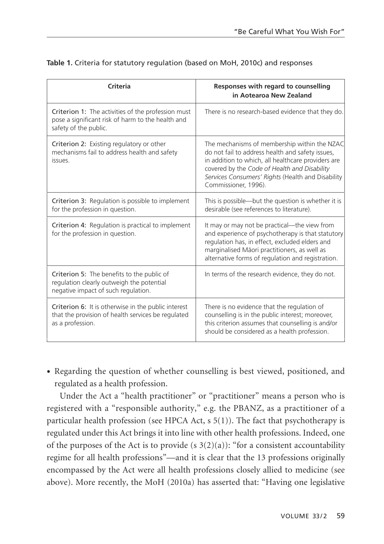| Criteria                                                                                                                         | Responses with regard to counselling<br>in Aotearoa New Zealand                                                                                                                                                                                                                     |
|----------------------------------------------------------------------------------------------------------------------------------|-------------------------------------------------------------------------------------------------------------------------------------------------------------------------------------------------------------------------------------------------------------------------------------|
| Criterion 1: The activities of the profession must<br>pose a significant risk of harm to the health and<br>safety of the public. | There is no research-based evidence that they do.                                                                                                                                                                                                                                   |
| Criterion 2: Existing regulatory or other<br>mechanisms fail to address health and safety<br>issues.                             | The mechanisms of membership within the NZAC<br>do not fail to address health and safety issues,<br>in addition to which, all healthcare providers are<br>covered by the Code of Health and Disability<br>Services Consumers' Rights (Health and Disability<br>Commissioner, 1996). |
| Criterion 3: Regulation is possible to implement<br>for the profession in question.                                              | This is possible—but the question is whether it is<br>desirable (see references to literature).                                                                                                                                                                                     |
| Criterion 4: Regulation is practical to implement<br>for the profession in question.                                             | It may or may not be practical—the view from<br>and experience of psychotherapy is that statutory<br>regulation has, in effect, excluded elders and<br>marginalised Māori practitioners, as well as<br>alternative forms of regulation and registration.                            |
| Criterion 5: The benefits to the public of<br>regulation clearly outweigh the potential<br>negative impact of such regulation.   | In terms of the research evidence, they do not.                                                                                                                                                                                                                                     |
| Criterion 6: It is otherwise in the public interest<br>that the provision of health services be regulated<br>as a profession.    | There is no evidence that the regulation of<br>counselling is in the public interest; moreover,<br>this criterion assumes that counselling is and/or<br>should be considered as a health profession.                                                                                |

### **Table 1.** Criteria for statutory regulation (based on MoH, 2010c) and responses

• Regarding the question of whether counselling is best viewed, positioned, and regulated as a health profession.

Under the Act a "health practitioner" or "practitioner" means a person who is registered with a "responsible authority," e.g. the PBANZ, as a practitioner of a particular health profession (see HPCA Act,  $s$  5(1)). The fact that psychotherapy is regulated under this Act brings it into line with other health professions. Indeed, one of the purposes of the Act is to provide (s  $3(2)(a)$ ): "for a consistent accountability regime for all health professions"—and it is clear that the 13 professions originally encompassed by the Act were all health professions closely allied to medicine (see above). More recently, the MoH (2010a) has asserted that: "Having one legislative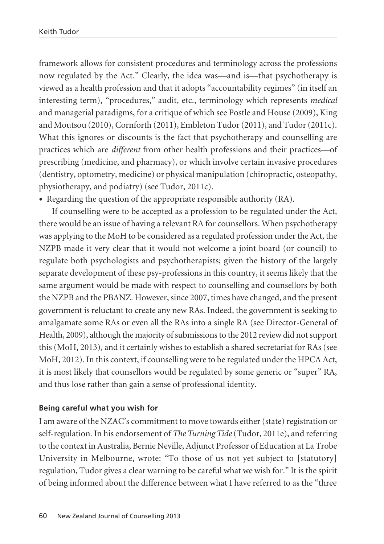framework allows for consistent procedures and terminology across the professions now regulated by the Act." Clearly, the idea was—and is—that psychotherapy is viewed as a health profession and that it adopts "accountability regimes" (in itself an interesting term), "procedures," audit, etc., terminology which represents *medical* and managerial paradigms, for a critique of which see Postle and House (2009), King and Moutsou (2010), Cornforth (2011), Embleton Tudor (2011), and Tudor (2011c). What this ignores or discounts is the fact that psychotherapy and counselling are practices which are *different* from other health professions and their practices—of prescribing (medicine, and pharmacy), or which involve certain invasive procedures (dentistry, optometry, medicine) or physical manipulation (chiropractic, osteopathy, physiotherapy, and podiatry) (see Tudor, 2011c).

• Regarding the question of the appropriate responsible authority (RA).

If counselling were to be accepted as a profession to be regulated under the Act, there would be an issue of having a relevant RA for counsellors. When psychotherapy was applying to the MoH to be considered as a regulated profession under the Act, the NZPB made it very clear that it would not welcome a joint board (or council) to regulate both psychologists and psychotherapists; given the history of the largely separate development of these psy-professions in this country, it seems likely that the same argument would be made with respect to counselling and counsellors by both the NZPB and the PBANZ. However, since 2007, times have changed, and the present government is reluctant to create any new RAs. Indeed, the government is seeking to amalgamate some RAs or even all the RAs into a single RA (see Director-General of Health, 2009), although the majority of submissions to the 2012 review did not support this (MoH, 2013), and it certainly wishes to establish a shared secretariat for RAs (see MoH, 2012). In this context, if counselling were to be regulated under the HPCA Act, it is most likely that counsellors would be regulated by some generic or "super" RA, and thus lose rather than gain a sense of professional identity.

### **Being careful what you wish for**

I am aware of the NZAC's commitment to move towards either (state) registration or self-regulation. In his endorsement of *The Turning Tide*(Tudor, 2011e), and referring to the context in Australia, Bernie Neville, Adjunct Professor of Education at La Trobe University in Melbourne, wrote: "To those of us not yet subject to [statutory] regulation, Tudor gives a clear warning to be careful what we wish for." It is the spirit of being informed about the difference between what I have referred to as the "three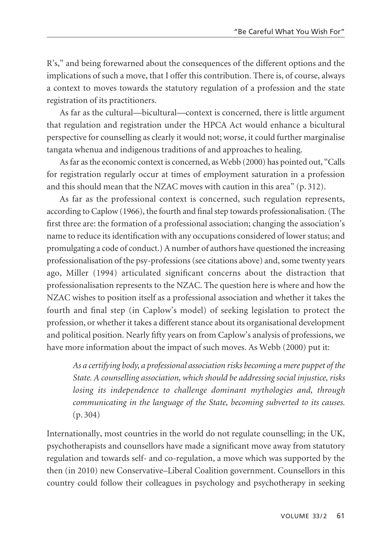R's," and being forewarned about the consequences of the different options and the implications of such a move, that I offer this contribution. There is, of course, always a context to moves towards the statutory regulation of a profession and the state registration of its practitioners.

As far as the cultural—bicultural—context is concerned, there is little argument that regulation and registration under the HPCA Act would enhance a bicultural perspective for counselling as clearly it would not; worse, it could further marginalise tangata whenua and indigenous traditions of and approaches to healing.

As far as the economic context is concerned, as Webb (2000) has pointed out, "Calls for registration regularly occur at times of employment saturation in a profession and this should mean that the NZAC moves with caution in this area" (p. 312).

As far as the professional context is concerned, such regulation represents, according to Caplow (1966), the fourth and final step towards professionalisation. (The first three are: the formation of a professional association; changing the association's name to reduce its identification with any occupations considered of lower status; and promulgating a code of conduct.) A number of authors have questioned the increasing professionalisation of the psy-professions (see citations above) and, some twenty years ago, Miller (1994) articulated significant concerns about the distraction that professionalisation represents to the NZAC. The question here is where and how the NZAC wishes to position itself as a professional association and whether it takes the fourth and final step (in Caplow's model) of seeking legislation to protect the profession, or whether it takes a different stance about its organisational development and political position. Nearly fifty years on from Caplow's analysis of professions, we have more information about the impact of such moves. As Webb (2000) put it:

*As a certifying body, a professional association risks becoming a mere puppet of the State. A counselling association, which should be addressing social injustice, risks losing its independence to challenge dominant mythologies and, through communicating in the language of the State, becoming subverted to its causes.* (p. 304)

Internationally, most countries in the world do not regulate counselling; in the UK, psychotherapists and counsellors have made a significant move away from statutory regulation and towards self- and co-regulation, a move which was supported by the then (in 2010) new Conservative–Liberal Coalition government. Counsellors in this country could follow their colleagues in psychology and psychotherapy in seeking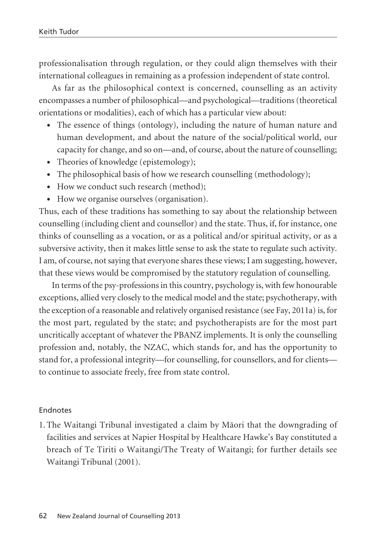professionalisation through regulation, or they could align themselves with their international colleagues in remaining as a profession independent of state control.

As far as the philosophical context is concerned, counselling as an activity encompasses a number of philosophical—and psychological—traditions (theoretical orientations or modalities), each of which has a particular view about:

- The essence of things (ontology), including the nature of human nature and human development, and about the nature of the social/political world, our capacity for change, and so on—and, of course, about the nature of counselling;
- Theories of knowledge (epistemology);
- The philosophical basis of how we research counselling (methodology);
- How we conduct such research (method);
- How we organise ourselves (organisation).

Thus, each of these traditions has something to say about the relationship between counselling (including client and counsellor) and the state. Thus, if, for instance, one thinks of counselling as a vocation, or as a political and/or spiritual activity, or as a subversive activity, then it makes little sense to ask the state to regulate such activity. I am, of course, not saying that everyone shares these views; I am suggesting, however, that these views would be compromised by the statutory regulation of counselling.

In terms of the psy-professions in this country, psychology is, with few honourable exceptions, allied very closely to the medical model and the state; psychotherapy, with the exception of a reasonable and relatively organised resistance (see Fay, 2011a) is, for the most part, regulated by the state; and psychotherapists are for the most part uncritically acceptant of whatever the PBANZ implements. It is only the counselling profession and, notably, the NZAC, which stands for, and has the opportunity to stand for, a professional integrity—for counselling, for counsellors, and for clients to continue to associate freely, free from state control.

#### Endnotes

1. The Waitangi Tribunal investigated a claim by Mäori that the downgrading of facilities and services at Napier Hospital by Healthcare Hawke's Bay constituted a breach of Te Tiriti o Waitangi/The Treaty of Waitangi; for further details see Waitangi Tribunal (2001).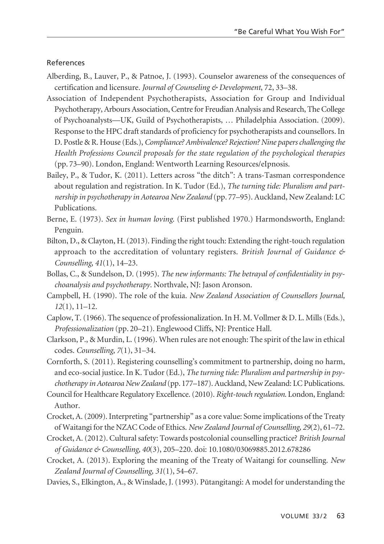#### References

- Alberding, B., Lauver, P., & Patnoe, J. (1993). Counselor awareness of the consequences of certification and licensure. *Journal of Counseling & Development*, 72, 33–38.
- Association of Independent Psychotherapists, Association for Group and Individual Psychotherapy, Arbours Association, Centre for Freudian Analysis and Research, The College of Psychoanalysts—UK, Guild of Psychotherapists, … Philadelphia Association. (2009). Response to the HPC draft standards of proficiency for psychotherapists and counsellors. In D. Postle & R. House (Eds.), *Compliance? Ambivalence? Rejection? Nine papers challenging the Health Professions Council proposals for the state regulation of the psychological therapies* (pp. 73–90). London, England: Wentworth Learning Resources/eIpnosis.
- Bailey, P., & Tudor, K. (2011). Letters across "the ditch": A trans-Tasman correspondence about regulation and registration. In K. Tudor (Ed.), *The turning tide: Pluralism and partnership in psychotherapy in Aotearoa New Zealand* (pp. 77–95). Auckland, New Zealand: LC Publications.
- Berne, E. (1973). *Sex in human loving*. (First published 1970.) Harmondsworth, England: Penguin.
- Bilton, D., & Clayton, H. (2013). Finding the right touch: Extending the right-touch regulation approach to the accreditation of voluntary registers. *British Journal of Guidance & Counselling*, *41*(1), 14–23.
- Bollas, C., & Sundelson, D. (1995). *The new informants: The betrayal of confidentiality in psychoanalysis and psychotherapy*. Northvale, NJ: Jason Aronson.
- Campbell, H. (1990). The role of the kuia. *New Zealand Association of Counsellors Journal, 12*(1), 11–12.
- Caplow, T. (1966). The sequence of professionalization. In H. M. Vollmer & D. L. Mills (Eds.), *Professionalization* (pp. 20–21). Englewood Cliffs, NJ: Prentice Hall.
- Clarkson, P., & Murdin, L. (1996). When rules are not enough: The spirit of the law in ethical codes. *Counselling*, *7*(1), 31–34.
- Cornforth, S. (2011). Registering counselling's commitment to partnership, doing no harm, and eco-social justice. In K. Tudor (Ed.), *The turning tide: Pluralism and partnership in psychotherapy in Aotearoa New Zealand* (pp. 177–187). Auckland, New Zealand: LC Publications.
- Council for Healthcare Regulatory Excellence. (2010). *Right-touch regulation*. London, England: Author.
- Crocket, A. (2009). Interpreting "partnership" as a core value: Some implications of the Treaty of Waitangi for the NZAC Code of Ethics. *New Zealand Journal of Counselling, 29*(2), 61–72.
- Crocket, A. (2012). Cultural safety: Towards postcolonial counselling practice? *British Journal of Guidance & Counselling, 40*(3), 205–220. doi: 10.1080/03069885.2012.678286
- Crocket, A. (2013). Exploring the meaning of the Treaty of Waitangi for counselling. *New Zealand Journal of Counselling, 31*(1), 54–67.
- Davies, S., Elkington, A., & Winslade, J. (1993). Pütangitangi: A model for understanding the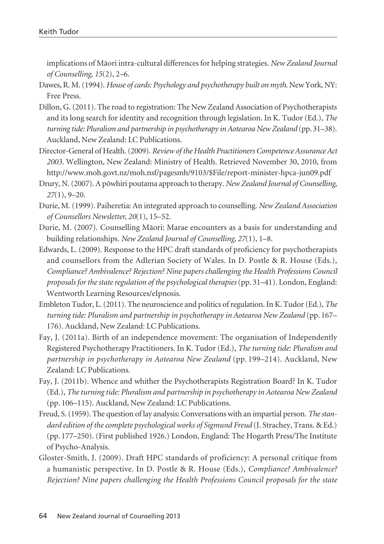implications of Mäori intra-cultural differences for helping strategies. *New Zealand Journal of Counselling, 15*(2), 2–6.

- Dawes, R. M. (1994). *House of cards: Psychology and psychotherapy built on myth*. New York, NY: Free Press.
- Dillon, G. (2011). The road to registration: The New Zealand Association of Psychotherapists and its long search for identity and recognition through legislation. In K. Tudor (Ed.), *The turning tide: Pluralism and partnership in psychotherapy in Aotearoa New Zealand* (pp. 31–38). Auckland, New Zealand: LC Publications.
- Director-General of Health. (2009). *Review of the Health Practitioners Competence Assurance Act 2003*. Wellington, New Zealand: Ministry of Health. Retrieved November 30, 2010, from http://www.moh.govt.nz/moh.nsf/pagesmh/9103/\$File/report-minister-hpca-jun09.pdf
- Drury, N. (2007). A pöwhiri poutama approach to therapy. *New Zealand Journal of Counselling, 27*(1), 9–20.
- Durie, M. (1999). Paiheretia: An integrated approach to counselling. *New Zealand Association of Counsellors Newsletter, 20*(1), 15–52.
- Durie, M. (2007). Counselling Mäori: Marae encounters as a basis for understanding and building relationships. *New Zealand Journal of Counselling, 27*(1), 1–8.
- Edwards, L. (2009). Response to the HPC draft standards of proficiency for psychotherapists and counsellors from the Adlerian Society of Wales. In D. Postle & R. House (Eds.), *Compliance? Ambivalence? Rejection? Nine papers challenging the Health Professions Council proposals for the state regulation of the psychological therapies*(pp. 31–41). London, England: Wentworth Learning Resources/eIpnosis.
- Embleton Tudor, L. (2011). The neuroscience and politics of regulation. In K. Tudor (Ed.), *The turning tide: Pluralism and partnership in psychotherapy in Aotearoa New Zealand* (pp. 167– 176). Auckland, New Zealand: LC Publications.
- Fay, J. (2011a). Birth of an independence movement: The organisation of Independently Registered Psychotherapy Practitioners. In K. Tudor (Ed.), *The turning tide: Pluralism and partnership in psychotherapy in Aotearoa New Zealand* (pp. 199–214). Auckland, New Zealand: LC Publications.
- Fay, J. (2011b). Whence and whither the Psychotherapists Registration Board? In K. Tudor (Ed.), *The turning tide: Pluralism and partnership in psychotherapy in Aotearoa New Zealand* (pp. 106–115). Auckland, New Zealand: LC Publications.
- Freud, S. (1959). The question of lay analysis: Conversations with an impartial person. *The standard edition of the complete psychological works of Sigmund Freud* (J. Strachey, Trans. & Ed.) (pp. 177–250). (First published 1926.) London, England: The Hogarth Press/The Institute of Psycho-Analysis.
- Gloster-Smith, J. (2009). Draft HPC standards of proficiency: A personal critique from a humanistic perspective. In D. Postle & R. House (Eds.), *Compliance? Ambivalence? Rejection? Nine papers challenging the Health Professions Council proposals for the state*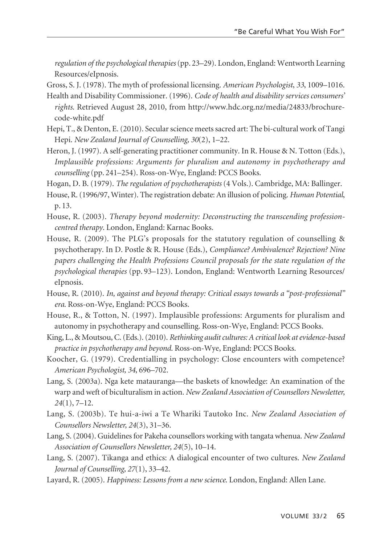*regulation of the psychological therapies*(pp. 23–29). London, England: Wentworth Learning Resources/eIpnosis.

- Gross, S. J. (1978). The myth of professional licensing. *American Psychologist*, *33*, 1009–1016.
- Health and Disability Commissioner. (1996). *Code of health and disability services consumers' rights*. Retrieved August 28, 2010, from http://www.hdc.org.nz/media/24833/brochurecode-white.pdf
- Hepi, T., & Denton, E. (2010). Secular science meets sacred art: The bi-cultural work of Tangi Hepi. *New Zealand Journal of Counselling, 30*(2), 1–22.
- Heron, J. (1997). A self-generating practitioner community. In R. House & N. Totton (Eds.), *Implausible professions: Arguments for pluralism and autonomy in psychotherapy and counselling* (pp. 241–254). Ross-on-Wye, England: PCCS Books.
- Hogan, D. B. (1979). *The regulation of psychotherapists* (4 Vols.). Cambridge, MA: Ballinger.
- House, R. (1996/97, Winter). The registration debate: An illusion of policing. *Human Potential*, p. 13.
- House, R. (2003). *Therapy beyond modernity: Deconstructing the transcending professioncentred therapy*. London, England: Karnac Books.
- House, R. (2009). The PLG's proposals for the statutory regulation of counselling & psychotherapy. In D. Postle & R. House (Eds.), *Compliance? Ambivalence? Rejection? Nine papers challenging the Health Professions Council proposals for the state regulation of the psychological therapies* (pp. 93–123). London, England: Wentworth Learning Resources/ eIpnosis.
- House, R. (2010). *In, against and beyond therapy: Critical essays towards a "post-professional" era*. Ross-on-Wye, England: PCCS Books.
- House, R., & Totton, N. (1997). Implausible professions: Arguments for pluralism and autonomy in psychotherapy and counselling. Ross-on-Wye, England: PCCS Books.
- King, L., & Moutsou, C. (Eds.). (2010). *Rethinking audit cultures: A critical look at evidence-based practice in psychotherapy and beyond*. Ross-on-Wye, England: PCCS Books.
- Koocher, G. (1979). Credentialling in psychology: Close encounters with competence? *American Psychologist, 34*, 696–702.
- Lang, S. (2003a). Nga kete matauranga—the baskets of knowledge: An examination of the warp and weft of biculturalism in action. *New Zealand Association of Counsellors Newsletter, 24*(1), 7–12.
- Lang, S. (2003b). Te hui-a-iwi a Te Whariki Tautoko Inc. *New Zealand Association of Counsellors Newsletter, 24*(3), 31–36.
- Lang, S. (2004). Guidelines for Pakeha counsellors working with tangata whenua. *New Zealand Association of Counsellors Newsletter, 24*(5), 10–14.
- Lang, S. (2007). Tikanga and ethics: A dialogical encounter of two cultures. *New Zealand Journal of Counselling, 27*(1), 33–42.
- Layard, R. (2005). *Happiness: Lessons from a new science*. London, England: Allen Lane.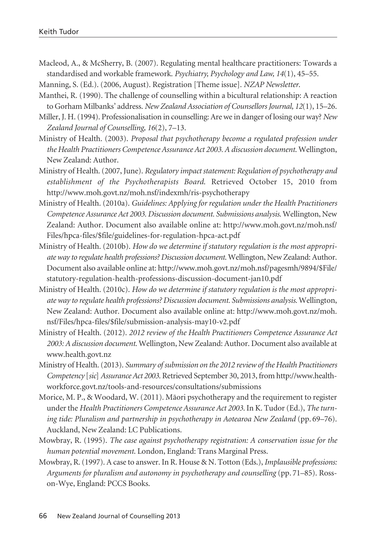- Macleod, A., & McSherry, B. (2007). Regulating mental healthcare practitioners: Towards a standardised and workable framework. *Psychiatry, Psychology and Law, 14*(1), 45–55.
- Manning, S. (Ed.). (2006, August). Registration [Theme issue]. *NZAP Newsletter*.
- Manthei, R. (1990). The challenge of counselling within a bicultural relationship: A reaction to Gorham Milbanks' address. *New Zealand Association of Counsellors Journal, 12*(1), 15–26.
- Miller, J. H. (1994). Professionalisation in counselling: Are we in danger of losing our way? *New Zealand Journal of Counselling, 16*(2), 7–13.
- Ministry of Health. (2003). *Proposal that psychotherapy become a regulated profession under the Health Practitioners Competence Assurance Act 2003. A discussion document*. Wellington, New Zealand: Author.
- Ministry of Health. (2007, June). *Regulatory impact statement: Regulation of psychotherapy and establishment of the Psychotherapists Board*. Retrieved October 15, 2010 from http://www.moh.govt.nz/moh.nsf/indexmh/ris-psychotherapy
- Ministry of Health. (2010a). *Guidelines: Applying for regulation under the Health Practitioners Competence Assurance Act 2003. Discussion document. Submissions analysis*. Wellington, New Zealand: Author. Document also available online at: http://www.moh.govt.nz/moh.nsf/ Files/hpca-files/\$file/guidelines-for-regulation-hpca-act.pdf
- Ministry of Health. (2010b). *How do we determine if statutory regulation is the most appropriate way to regulate health professions? Discussion document*. Wellington, New Zealand: Author. Document also available online at: http://www.moh.govt.nz/moh.nsf/pagesmh/9894/\$File/ statutory-regulation-health-professions-discussion-document-jan10.pdf
- Ministry of Health. (2010c). *How do we determine if statutory regulation is the most appropriate way to regulate health professions? Discussion document. Submissions analysis*. Wellington, New Zealand: Author. Document also available online at: http://www.moh.govt.nz/moh. nsf/Files/hpca-files/\$file/submission-analysis-may10-v2.pdf
- Ministry of Health. (2012). *2012 review of the Health Practitioners Competence Assurance Act 2003: A discussion document*. Wellington, New Zealand: Author. Document also available at www.health.govt.nz
- Ministry of Health. (2013). *Summary of submission on the 2012 review of the Health Practitioners Competency* [*sic*] *Assurance Act 2003*. Retrieved September 30, 2013, from http://www.healthworkforce.govt.nz/tools-and-resources/consultations/submissions
- Morice, M. P., & Woodard, W. (2011). Mäori psychotherapy and the requirement to register under the *Health Practitioners Competence Assurance Act 2003*. In K. Tudor (Ed.), *The turning tide: Pluralism and partnership in psychotherapy in Aotearoa New Zealand* (pp. 69–76). Auckland, New Zealand: LC Publications.
- Mowbray, R. (1995). *The case against psychotherapy registration: A conservation issue for the human potential movement*. London, England: Trans Marginal Press.
- Mowbray, R. (1997). A case to answer. In R. House & N. Totton (Eds.), *Implausible professions: Arguments for pluralism and autonomy in psychotherapy and counselling* (pp. 71–85). Rosson-Wye, England: PCCS Books.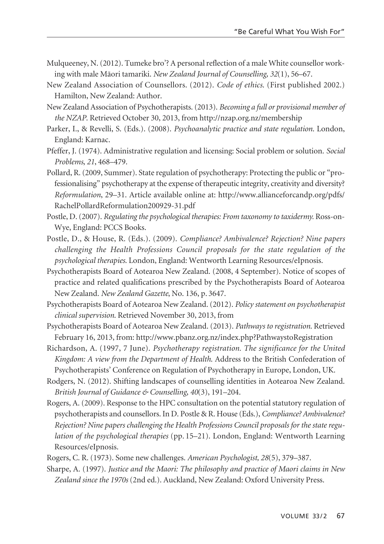- Mulqueeney, N. (2012). Tumeke bro'? A personal reflection of a male White counsellor working with male Mäori tamariki. *New Zealand Journal of Counselling, 32*(1), 56–67.
- New Zealand Association of Counsellors. (2012). *Code of ethics*. (First published 2002.) Hamilton, New Zealand: Author.
- New Zealand Association of Psychotherapists. (2013). *Becoming a full or provisional member of the NZAP*. Retrieved October 30, 2013, from http://nzap.org.nz/membership
- Parker, I., & Revelli, S. (Eds.). (2008). *Psychoanalytic practice and state regulation*. London, England: Karnac.
- Pfeffer, J. (1974). Administrative regulation and licensing: Social problem or solution. *Social Problems*, *21*, 468–479.
- Pollard, R. (2009, Summer). State regulation of psychotherapy: Protecting the public or "professionalising" psychotherapy at the expense of therapeutic integrity, creativity and diversity? *Reformulation*, 29–31. Article available online at: http://www.allianceforcandp.org/pdfs/ RachelPollardReformulation200929-31.pdf
- Postle, D. (2007). *Regulating the psychological therapies: From taxonomy to taxidermy.* Ross-on-Wye, England: PCCS Books.
- Postle, D., & House, R. (Eds.). (2009). *Compliance? Ambivalence? Rejection? Nine papers challenging the Health Professions Council proposals for the state regulation of the psychological therapies*. London, England: Wentworth Learning Resources/eIpnosis.
- Psychotherapists Board of Aotearoa New Zealand. (2008, 4 September). Notice of scopes of practice and related qualifications prescribed by the Psychotherapists Board of Aotearoa New Zealand. *New Zealand Gazette*, No. 136, p. 3647.
- Psychotherapists Board of Aotearoa New Zealand. (2012). *Policy statement on psychotherapist clinical supervision*. Retrieved November 30, 2013, from
- Psychotherapists Board of Aotearoa New Zealand. (2013). *Pathways to registration*. Retrieved February 16, 2013, from: http://www.pbanz.org.nz/index.php?PathwaystoRegistration
- Richardson, A. (1997, 7 June). *Psychotherapy registration. The significance for the United Kingdom: A view from the Department of Health*. Address to the British Confederation of Psychotherapists' Conference on Regulation of Psychotherapy in Europe, London, UK.
- Rodgers, N. (2012). Shifting landscapes of counselling identities in Aotearoa New Zealand. *British Journal of Guidance & Counselling*, *40*(3), 191–204.
- Rogers, A. (2009). Response to the HPC consultation on the potential statutory regulation of psychotherapists and counsellors. In D. Postle & R. House (Eds.), *Compliance? Ambivalence? Rejection? Nine papers challenging the Health Professions Council proposals for the state regulation of the psychological therapies* (pp. 15–21). London, England: Wentworth Learning Resources/eIpnosis.
- Rogers, C. R. (1973). Some new challenges. *American Psychologist, 28*(5), 379–387.
- Sharpe, A. (1997). *Justice and the Maori: The philosophy and practice of Maori claims in New Zealand since the 1970s* (2nd ed.). Auckland, New Zealand: Oxford University Press.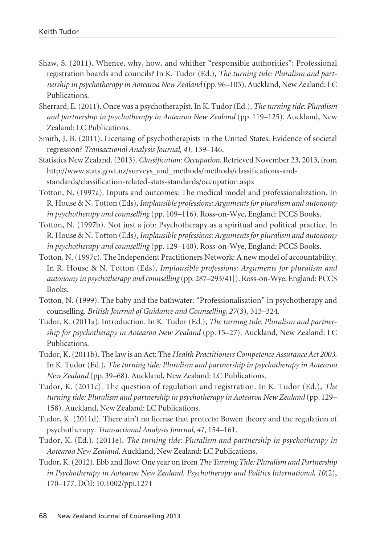- Shaw, S. (2011). Whence, why, how, and whither "responsible authorities": Professional registration boards and councils? In K. Tudor (Ed.), *The turning tide: Pluralism and partnership in psychotherapy in Aotearoa New Zealand* (pp. 96–105). Auckland, New Zealand: LC Publications.
- Sherrard, E. (2011). Once was a psychotherapist. In K. Tudor (Ed.), *The turning tide: Pluralism and partnership in psychotherapy in Aotearoa New Zealand* (pp. 119–125). Auckland, New Zealand: LC Publications.
- Smith, J. B. (2011). Licensing of psychotherapists in the United States: Evidence of societal regression? *Transactional Analysis Journal*, *41*, 139–146.
- Statistics New Zealand. (2013). *Classification: Occupation*. Retrieved November 23, 2013, from http://www.stats.govt.nz/surveys\_and\_methods/methods/classifications-andstandards/classification-related-stats-standards/occupation.aspx
- Totton, N. (1997a). Inputs and outcomes: The medical model and professionalization. In R. House & N. Totton (Eds), *Implausible professions: Arguments for pluralism and autonomy in psychotherapy and counselling* (pp. 109–116). Ross-on-Wye, England: PCCS Books.
- Totton, N. (1997b). Not just a job: Psychotherapy as a spiritual and political practice. In R. House & N. Totton (Eds), *Implausible professions: Arguments for pluralism and autonomy in psychotherapy and counselling* (pp. 129–140). Ross-on-Wye, England: PCCS Books.
- Totton, N. (1997c). The Independent Practitioners Network: A new model of accountability. In R. House & N. Totton (Eds), *Implausible professions: Arguments for pluralism and autonomy in psychotherapy and counselling* (pp. 287–293/41}). Ross-on-Wye, England: PCCS Books.
- Totton, N. (1999). The baby and the bathwater: "Professionalisation" in psychotherapy and counselling. *British Journal of Guidance and Counselling, 27*(3), 313–324.
- Tudor, K. (2011a). Introduction. In K. Tudor (Ed.), *The turning tide: Pluralism and partnership for psychotherapy in Aotearoa New Zealand* (pp. 15–27). Auckland, New Zealand: LC Publications.
- Tudor, K. (2011b). The law is an Act: The *Health Practitioners Competence Assurance Act 2003*. In K. Tudor (Ed.), *The turning tide: Pluralism and partnership in psychotherapy in Aotearoa New Zealand* (pp. 39–68). Auckland, New Zealand: LC Publications.
- Tudor, K. (2011c). The question of regulation and registration. In K. Tudor (Ed.), *The turning tide: Pluralism and partnership in psychotherapy in Aotearoa New Zealand* (pp. 129– 158). Auckland, New Zealand: LC Publications.
- Tudor, K. (2011d). There ain't no license that protects: Bowen theory and the regulation of psychotherapy. *Transactional Analysis Journal, 41*, 154–161.
- Tudor, K. (Ed.). (2011e). *The turning tide: Pluralism and partnership in psychotherapy in Aotearoa New Zealand.* Auckland, New Zealand: LC Publications.
- Tudor, K. (2012). Ebb and flow: One year on from *The Turning Tide: Pluralism and Partnership in Psychotherapy in Aotearoa New Zealand. Psychotherapy and Politics International, 10*(2), 170–177. DOI: 10.1002/ppi.1271